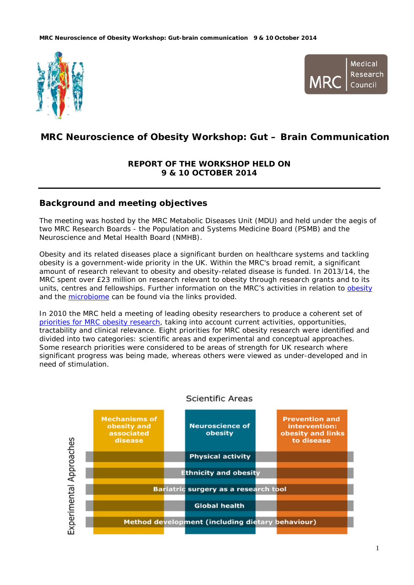



# **MRC Neuroscience of Obesity Workshop: Gut – Brain Communication**

# **REPORT OF THE WORKSHOP HELD ON 9 & 10 OCTOBER 2014**

# **Background and meeting objectives**

The meeting was hosted by the MRC Metabolic Diseases Unit (MDU) and held under the aegis of two MRC Research Boards - the Population and Systems Medicine Board (PSMB) and the Neuroscience and Metal Health Board (NMHB).

Obesity and its related diseases place a significant burden on healthcare systems and tackling obesity is a government-wide priority in the UK. Within the MRC's broad remit, a significant amount of research relevant to obesity and obesity-related disease is funded. In 2013/14, the MRC spent over £23 million on research relevant to obesity through research grants and to its units, centres and fellowships. Further information on the MRC's activities in relation to [obesity](http://www.mrc.ac.uk/research/achievements/browse-our-achievements/obesity/) and the [microbiome](http://www.mrc.ac.uk/funding/science-areas/population-systems-medicine/microbiome-and-health/) can be found via the links provided.

In 2010 the MRC held a meeting of leading obesity researchers to produce a coherent set of [priorities for MRC obesity research,](http://www.mrc.ac.uk/research/initiatives/obesity-research/) taking into account current activities, opportunities, tractability and clinical relevance. Eight priorities for MRC obesity research were identified and divided into two categories: scientific areas and experimental and conceptual approaches. Some research priorities were considered to be areas of strength for UK research where significant progress was being made, whereas others were viewed as under-developed and in need of stimulation.



### Scientific Areas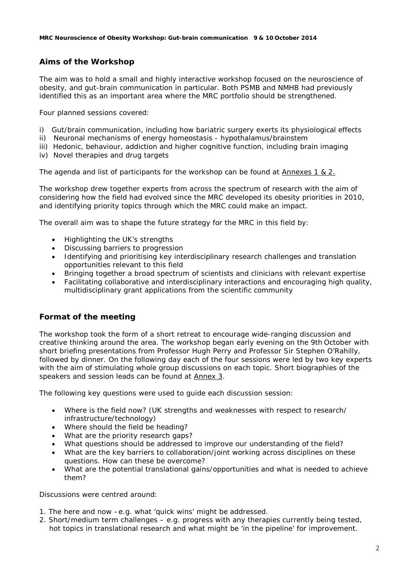# **Aims of the Workshop**

The aim was to hold a small and highly interactive workshop focused on the neuroscience of obesity, and gut-brain communication in particular. Both PSMB and NMHB had previously identified this as an important area where the MRC portfolio should be strengthened.

Four planned sessions covered:

- i) Gut/brain communication, including how bariatric surgery exerts its physiological effects
- ii) Neuronal mechanisms of energy homeostasis hypothalamus/brainstem
- iii) Hedonic, behaviour, addiction and higher cognitive function, including brain imaging
- iv) Novel therapies and drug targets

The agenda and list of participants for the workshop can be found at Annexes 1 & 2.

The workshop drew together experts from across the spectrum of research with the aim of considering how the field had evolved since the MRC developed its obesity priorities in 2010, and identifying priority topics through which the MRC could make an impact.

The overall aim was to shape the future strategy for the MRC in this field by:

- Highlighting the UK's strengths
- Discussing barriers to progression
- Identifying and prioritising key interdisciplinary research challenges and translation opportunities relevant to this field
- Bringing together a broad spectrum of scientists and clinicians with relevant expertise
- Facilitating collaborative and interdisciplinary interactions and encouraging high quality, multidisciplinary grant applications from the scientific community

### **Format of the meeting**

The workshop took the form of a short retreat to encourage wide-ranging discussion and creative thinking around the area. The workshop began early evening on the 9th October with short briefing presentations from Professor Hugh Perry and Professor Sir Stephen O'Rahilly, followed by dinner. On the following day each of the four sessions were led by two key experts with the aim of stimulating whole group discussions on each topic. Short biographies of the speakers and session leads can be found at Annex 3.

The following key questions were used to guide each discussion session:

- Where is the field now? (UK strengths and weaknesses with respect to research/ infrastructure/technology)
- Where should the field be heading?
- What are the priority research gaps?
- What questions should be addressed to improve our understanding of the field?
- What are the key barriers to collaboration/joint working across disciplines on these questions. How can these be overcome?
- What are the potential translational gains/opportunities and what is needed to achieve them?

Discussions were centred around:

- 1. The here and now –e.g. what 'quick wins' might be addressed.
- 2. Short/medium term challenges e.g. progress with any therapies currently being tested, hot topics in translational research and what might be 'in the pipeline' for improvement.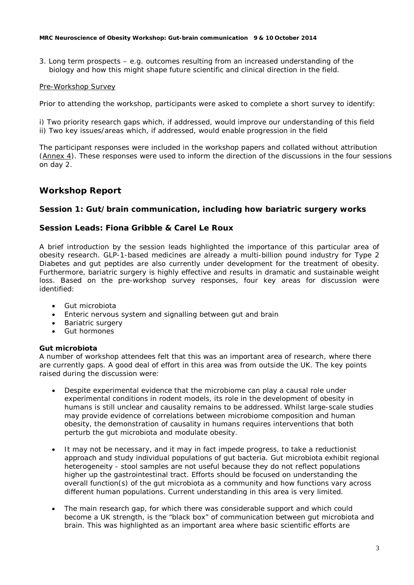3. Long term prospects – e.g. outcomes resulting from an increased understanding of the biology and how this might shape future scientific and clinical direction in the field.

### Pre-Workshop Survey

Prior to attending the workshop, participants were asked to complete a short survey to identify:

i) Two priority research gaps which, if addressed, would improve our understanding of this field ii) Two key issues/areas which, if addressed, would enable progression in the field

The participant responses were included in the workshop papers and collated without attribution (Annex 4). These responses were used to inform the direction of the discussions in the four sessions on day 2.

# **Workshop Report**

### **Session 1: Gut/brain communication, including how bariatric surgery works**

### **Session Leads: Fiona Gribble & Carel Le Roux**

A brief introduction by the session leads highlighted the importance of this particular area of obesity research. GLP-1-based medicines are already a multi-billion pound industry for Type 2 Diabetes and gut peptides are also currently under development for the treatment of obesity. Furthermore, bariatric surgery is highly effective and results in dramatic and sustainable weight loss. Based on the pre-workshop survey responses, four key areas for discussion were identified:

- Gut microbiota
- Enteric nervous system and signalling between gut and brain
- Bariatric surgery
- Gut hormones

### **Gut microbiota**

A number of workshop attendees felt that this was an important area of research, where there are currently gaps. A good deal of effort in this area was from outside the UK. The key points raised during the discussion were:

- Despite experimental evidence that the microbiome can play a causal role under experimental conditions in rodent models, its role in the development of obesity in humans is still unclear and causality remains to be addressed. Whilst large-scale studies may provide evidence of correlations between microbiome composition and human obesity, the demonstration of causality in humans requires interventions that both perturb the gut microbiota and modulate obesity.
- It may not be necessary, and it may in fact impede progress, to take a reductionist approach and study individual populations of gut bacteria. Gut microbiota exhibit regional heterogeneity - stool samples are not useful because they do not reflect populations higher up the gastrointestinal tract. Efforts should be focused on understanding the overall function(s) of the gut microbiota as a community and how functions vary across different human populations. Current understanding in this area is very limited.
- The main research gap, for which there was considerable support and which could become a UK strength, is the "black box" of communication between gut microbiota and brain. This was highlighted as an important area where basic scientific efforts are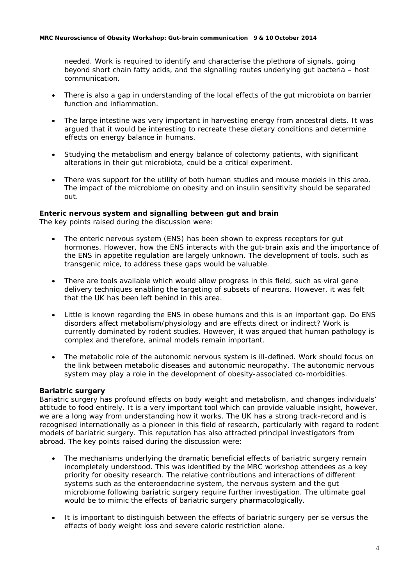needed. Work is required to identify and characterise the plethora of signals, going beyond short chain fatty acids, and the signalling routes underlying gut bacteria – host communication.

- There is also a gap in understanding of the local effects of the gut microbiota on barrier function and inflammation.
- The large intestine was very important in harvesting energy from ancestral diets. It was argued that it would be interesting to recreate these dietary conditions and determine effects on energy balance in humans.
- Studying the metabolism and energy balance of colectomy patients, with significant alterations in their gut microbiota, could be a critical experiment.
- There was support for the utility of both human studies and mouse models in this area. The impact of the microbiome on obesity and on insulin sensitivity should be separated out.

### **Enteric nervous system and signalling between gut and brain**

The key points raised during the discussion were:

- The enteric nervous system (ENS) has been shown to express receptors for gut hormones. However, how the ENS interacts with the gut-brain axis and the importance of the ENS in appetite regulation are largely unknown. The development of tools, such as transgenic mice, to address these gaps would be valuable.
- There are tools available which would allow progress in this field, such as viral gene delivery techniques enabling the targeting of subsets of neurons. However, it was felt that the UK has been left behind in this area.
- Little is known regarding the ENS in obese humans and this is an important gap. Do ENS disorders affect metabolism/physiology and are effects direct or indirect? Work is currently dominated by rodent studies. However, it was argued that human pathology is complex and therefore, animal models remain important.
- The metabolic role of the autonomic nervous system is ill-defined. Work should focus on the link between metabolic diseases and autonomic neuropathy. The autonomic nervous system may play a role in the development of obesity-associated co-morbidities.

### **Bariatric surgery**

Bariatric surgery has profound effects on body weight and metabolism, and changes individuals' attitude to food entirely. It is a very important tool which can provide valuable insight, however, we are a long way from understanding how it works. The UK has a strong track-record and is recognised internationally as a pioneer in this field of research, particularly with regard to rodent models of bariatric surgery. This reputation has also attracted principal investigators from abroad. The key points raised during the discussion were:

- The mechanisms underlying the dramatic beneficial effects of bariatric surgery remain incompletely understood. This was identified by the MRC workshop attendees as a key priority for obesity research. The relative contributions and interactions of different systems such as the enteroendocrine system, the nervous system and the gut microbiome following bariatric surgery require further investigation. The ultimate goal would be to mimic the effects of bariatric surgery pharmacologically.
- It is important to distinguish between the effects of bariatric surgery *per se* versus the effects of body weight loss and severe caloric restriction alone.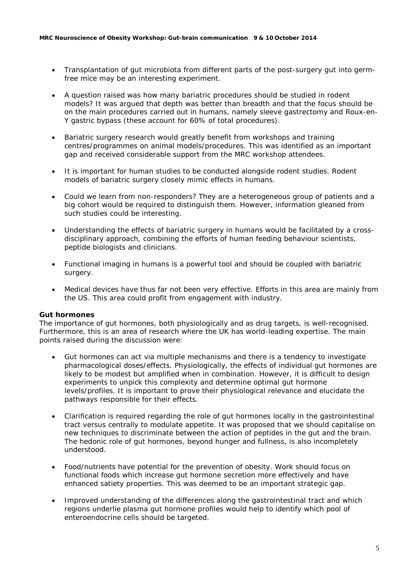- Transplantation of gut microbiota from different parts of the post-surgery gut into germfree mice may be an interesting experiment.
- A question raised was how many bariatric procedures should be studied in rodent models? It was argued that depth was better than breadth and that the focus should be on the main procedures carried out in humans, namely sleeve gastrectomy and Roux-en-Y gastric bypass (these account for 60% of total procedures).
- Bariatric surgery research would greatly benefit from workshops and training centres/programmes on animal models/procedures. This was identified as an important gap and received considerable support from the MRC workshop attendees.
- It is important for human studies to be conducted alongside rodent studies. Rodent models of bariatric surgery closely mimic effects in humans.
- Could we learn from non-responders? They are a heterogeneous group of patients and a big cohort would be required to distinguish them. However, information gleaned from such studies could be interesting.
- Understanding the effects of bariatric surgery in humans would be facilitated by a crossdisciplinary approach, combining the efforts of human feeding behaviour scientists, peptide biologists and clinicians.
- Functional imaging in humans is a powerful tool and should be coupled with bariatric surgery.
- Medical devices have thus far not been very effective. Efforts in this area are mainly from the US. This area could profit from engagement with industry.

### **Gut hormones**

The importance of gut hormones, both physiologically and as drug targets, is well-recognised. Furthermore, this is an area of research where the UK has world-leading expertise. The main points raised during the discussion were:

- Gut hormones can act via multiple mechanisms and there is a tendency to investigate pharmacological doses/effects. Physiologically, the effects of individual gut hormones are likely to be modest but amplified when in combination. However, it is difficult to design experiments to unpick this complexity and determine optimal gut hormone levels/profiles. It is important to prove their physiological relevance and elucidate the pathways responsible for their effects.
- Clarification is required regarding the role of gut hormones locally in the gastrointestinal tract versus centrally to modulate appetite. It was proposed that we should capitalise on new techniques to discriminate between the action of peptides in the gut and the brain. The hedonic role of gut hormones, beyond hunger and fullness, is also incompletely understood.
- Food/nutrients have potential for the prevention of obesity. Work should focus on functional foods which increase gut hormone secretion more effectively and have enhanced satiety properties. This was deemed to be an important strategic gap.
- Improved understanding of the differences along the gastrointestinal tract and which regions underlie plasma gut hormone profiles would help to identify which pool of enteroendocrine cells should be targeted.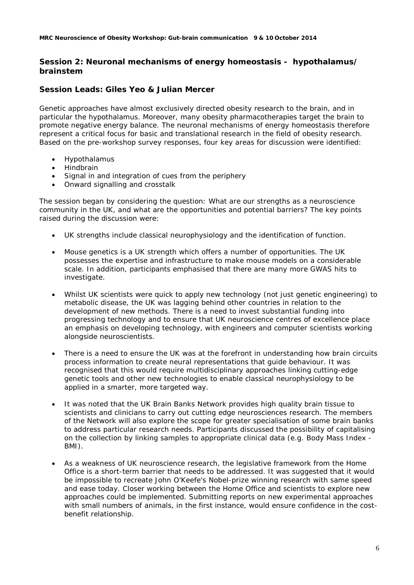### **Session 2: Neuronal mechanisms of energy homeostasis - hypothalamus/ brainstem**

### **Session Leads: Giles Yeo & Julian Mercer**

Genetic approaches have almost exclusively directed obesity research to the brain, and in particular the hypothalamus. Moreover, many obesity pharmacotherapies target the brain to promote negative energy balance. The neuronal mechanisms of energy homeostasis therefore represent a critical focus for basic and translational research in the field of obesity research. Based on the pre-workshop survey responses, four key areas for discussion were identified:

- Hypothalamus
- Hindbrain
- Signal in and integration of cues from the periphery
- Onward signalling and crosstalk

The session began by considering the question: *What are our strengths as a neuroscience community in the UK, and what are the opportunities and potential barriers?* The key points raised during the discussion were:

- UK strengths include classical neurophysiology and the identification of function.
- Mouse genetics is a UK strength which offers a number of opportunities. The UK possesses the expertise and infrastructure to make mouse models on a considerable scale. In addition, participants emphasised that there are many more GWAS hits to investigate.
- Whilst UK scientists were quick to apply new technology (not just genetic engineering) to metabolic disease, the UK was lagging behind other countries in relation to the development of new methods. There is a need to invest substantial funding into progressing technology and to ensure that UK neuroscience centres of excellence place an emphasis on developing technology, with engineers and computer scientists working alongside neuroscientists.
- There is a need to ensure the UK was at the forefront in understanding how brain circuits process information to create neural representations that guide behaviour. It was recognised that this would require multidisciplinary approaches linking cutting-edge genetic tools and other new technologies to enable classical neurophysiology to be applied in a smarter, more targeted way.
- It was noted that the UK Brain Banks Network provides high quality brain tissue to scientists and clinicians to carry out cutting edge neurosciences research. The members of the Network will also explore the scope for greater specialisation of some brain banks to address particular research needs. Participants discussed the possibility of capitalising on the collection by linking samples to appropriate clinical data (e.g. Body Mass Index - BMI).
- As a weakness of UK neuroscience research, the legislative framework from the Home Office is a short-term barrier that needs to be addressed. It was suggested that it would be impossible to recreate John O'Keefe's Nobel-prize winning research with same speed and ease today. Closer working between the Home Office and scientists to explore new approaches could be implemented. Submitting reports on new experimental approaches with small numbers of animals, in the first instance, would ensure confidence in the costbenefit relationship.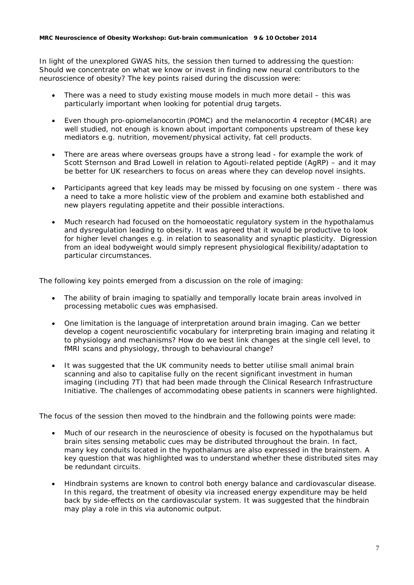In light of the unexplored GWAS hits, the session then turned to addressing the question: *Should we concentrate on what we know or invest in finding new neural contributors to the neuroscience of obesity?* The key points raised during the discussion were:

- There was a need to study existing mouse models in much more detail this was particularly important when looking for potential drug targets.
- Even though pro-opiomelanocortin (POMC) and the melanocortin 4 receptor (MC4R) are well studied, not enough is known about important components upstream of these key mediators e.g. nutrition, movement/physical activity, fat cell products.
- There are areas where overseas groups have a strong lead for example the work of Scott Sternson and Brad Lowell in relation to Agouti-related peptide (AgRP) – and it may be better for UK researchers to focus on areas where they can develop novel insights.
- Participants agreed that key leads may be missed by focusing on one system there was a need to take a more holistic view of the problem and examine both established and new players regulating appetite and their possible interactions.
- Much research had focused on the homoeostatic regulatory system in the hypothalamus and dysregulation leading to obesity. It was agreed that it would be productive to look for higher level changes e.g. in relation to seasonality and synaptic plasticity. Digression from an ideal bodyweight would simply represent physiological flexibility/adaptation to particular circumstances.

The following key points emerged from a discussion on the role of imaging:

- The ability of brain imaging to spatially and temporally locate brain areas involved in processing metabolic cues was emphasised.
- One limitation is the language of interpretation around brain imaging. Can we better develop a cogent neuroscientific vocabulary for interpreting brain imaging and relating it to physiology and mechanisms? How do we best link changes at the single cell level, to fMRI scans and physiology, through to behavioural change?
- It was suggested that the UK community needs to better utilise small animal brain scanning and also to capitalise fully on the recent significant investment in human imaging (including 7T) that had been made through the Clinical Research Infrastructure Initiative. The challenges of accommodating obese patients in scanners were highlighted.

The focus of the session then moved to the hindbrain and the following points were made:

- Much of our research in the neuroscience of obesity is focused on the hypothalamus but brain sites sensing metabolic cues may be distributed throughout the brain. In fact, many key conduits located in the hypothalamus are also expressed in the brainstem. A key question that was highlighted was to understand whether these distributed sites may be redundant circuits.
- Hindbrain systems are known to control both energy balance and cardiovascular disease. In this regard, the treatment of obesity via increased energy expenditure may be held back by side-effects on the cardiovascular system. It was suggested that the hindbrain may play a role in this via autonomic output.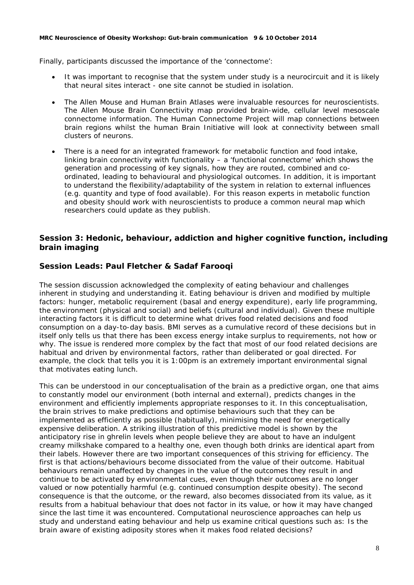Finally, participants discussed the importance of the 'connectome':

- It was important to recognise that the system under study is a neurocircuit and it is likely that neural sites interact - one site cannot be studied in isolation.
- The Allen Mouse and Human Brain Atlases were invaluable resources for neuroscientists. The Allen Mouse Brain Connectivity map provided brain-wide, cellular level mesoscale connectome information. The Human Connectome Project will map connections between brain regions whilst the human Brain Initiative will look at connectivity between small clusters of neurons.
- There is a need for an integrated framework for metabolic function and food intake, linking brain connectivity with functionality – a 'functional connectome' which shows the generation and processing of key signals, how they are routed, combined and coordinated, leading to behavioural and physiological outcomes. In addition, it is important to understand the flexibility/adaptability of the system in relation to external influences (e.g. quantity and type of food available). For this reason experts in metabolic function and obesity should work with neuroscientists to produce a common neural map which researchers could update as they publish.

## **Session 3: Hedonic, behaviour, addiction and higher cognitive function, including brain imaging**

# **Session Leads: Paul Fletcher & Sadaf Farooqi**

The session discussion acknowledged the complexity of eating behaviour and challenges inherent in studying and understanding it. Eating behaviour is driven and modified by multiple factors: hunger, metabolic requirement (basal and energy expenditure), early life programming, the environment (physical and social) and beliefs (cultural and individual). Given these multiple interacting factors it is difficult to determine what drives food related decisions and food consumption on a day-to-day basis. BMI serves as a cumulative record of these decisions but in itself only tells us that there has been excess energy intake surplus to requirements, not how or why. The issue is rendered more complex by the fact that most of our food related decisions are habitual and driven by environmental factors, rather than deliberated or goal directed. For example, the clock that tells you it is 1:00pm is an extremely important environmental signal that motivates eating lunch.

This can be understood in our conceptualisation of the brain as a predictive organ, one that aims to constantly model our environment (both internal and external), predicts changes in the environment and efficiently implements appropriate responses to it. In this conceptualisation, the brain strives to make predictions and optimise behaviours such that they can be implemented as efficiently as possible (habitually), minimising the need for energetically expensive deliberation. A striking illustration of this predictive model is shown by the anticipatory rise in ghrelin levels when people believe they are about to have an indulgent creamy milkshake compared to a healthy one, even though both drinks are identical apart from their labels. However there are two important consequences of this striving for efficiency. The first is that actions/behaviours become dissociated from the value of their outcome. Habitual behaviours remain unaffected by changes in the value of the outcomes they result in and continue to be activated by environmental cues, even though their outcomes are no longer valued or now potentially harmful (e.g. continued consumption despite obesity). The second consequence is that the outcome, or the reward, also becomes dissociated from its value, as it results from a habitual behaviour that does not factor in its value, or how it may have changed since the last time it was encountered. Computational neuroscience approaches can help us study and understand eating behaviour and help us examine critical questions such as: Is the brain aware of existing adiposity stores when it makes food related decisions?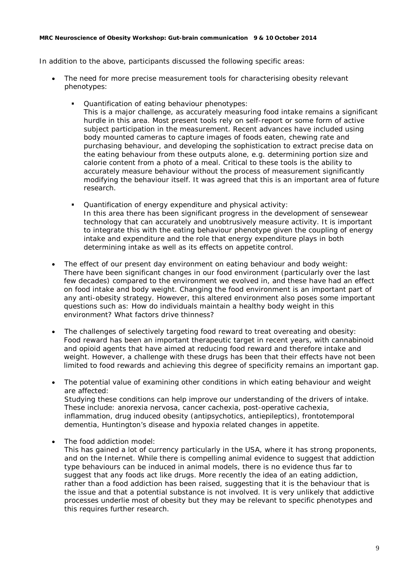In addition to the above, participants discussed the following specific areas:

- *The need for more precise measurement tools for characterising obesity relevant phenotypes:*
	- *Quantification of eating behaviour phenotypes:*

This is a major challenge, as accurately measuring food intake remains a significant hurdle in this area. Most present tools rely on self-report or some form of active subject participation in the measurement. Recent advances have included using body mounted cameras to capture images of foods eaten, chewing rate and purchasing behaviour, and developing the sophistication to extract precise data on the eating behaviour from these outputs alone, e.g. determining portion size and calorie content from a photo of a meal. Critical to these tools is the ability to accurately measure behaviour without the process of measurement significantly modifying the behaviour itself. It was agreed that this is an important area of future research.

- *Quantification of energy expenditure and physical activity:*  In this area there has been significant progress in the development of sensewear technology that can accurately and unobtrusively measure activity. It is important to integrate this with the eating behaviour phenotype given the coupling of energy intake and expenditure and the role that energy expenditure plays in both determining intake as well as its effects on appetite control.
- *The effect of our present day environment on eating behaviour and body weight:* There have been significant changes in our food environment (particularly over the last few decades) compared to the environment we evolved in, and these have had an effect on food intake and body weight. Changing the food environment is an important part of any anti-obesity strategy. However, this altered environment also poses some important questions such as: How do individuals maintain a healthy body weight in this environment? What factors drive thinness?
- *The challenges of selectively targeting food reward to treat overeating and obesity:* Food reward has been an important therapeutic target in recent years, with cannabinoid and opioid agents that have aimed at reducing food reward and therefore intake and weight. However, a challenge with these drugs has been that their effects have not been limited to food rewards and achieving this degree of specificity remains an important gap.
- *The potential value of examining other conditions in which eating behaviour and weight are affected:* Studying these conditions can help improve our understanding of the drivers of intake.

These include: anorexia nervosa, cancer cachexia, post-operative cachexia, inflammation, drug induced obesity (antipsychotics, antiepileptics), frontotemporal dementia, Huntington's disease and hypoxia related changes in appetite.

• *The food addiction model:* 

This has gained a lot of currency particularly in the USA, where it has strong proponents, and on the Internet. While there is compelling animal evidence to suggest that addiction type behaviours can be induced in animal models, there is no evidence thus far to suggest that any foods act like drugs. More recently the idea of an eating addiction, rather than a food addiction has been raised, suggesting that it is the behaviour that is the issue and that a potential substance is not involved. It is very unlikely that addictive processes underlie most of obesity but they may be relevant to specific phenotypes and this requires further research.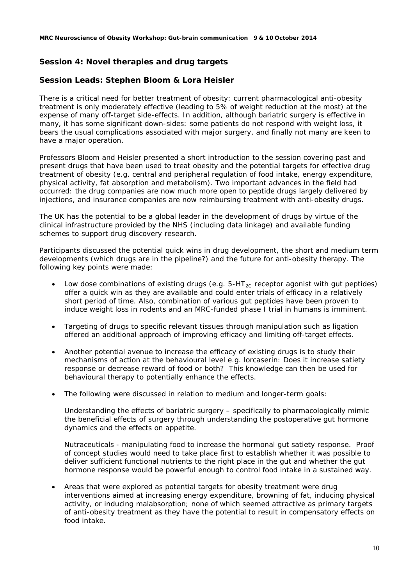# **Session 4: Novel therapies and drug targets**

### **Session Leads: Stephen Bloom & Lora Heisler**

There is a critical need for better treatment of obesity: current pharmacological anti-obesity treatment is only moderately effective (leading to 5% of weight reduction at the most) at the expense of many off-target side-effects. In addition, although bariatric surgery is effective in many, it has some significant down-sides: some patients do not respond with weight loss, it bears the usual complications associated with major surgery, and finally not many are keen to have a major operation.

Professors Bloom and Heisler presented a short introduction to the session covering past and present drugs that have been used to treat obesity and the potential targets for effective drug treatment of obesity (e.g. central and peripheral regulation of food intake, energy expenditure, physical activity, fat absorption and metabolism). Two important advances in the field had occurred: the drug companies are now much more open to peptide drugs largely delivered by injections, and insurance companies are now reimbursing treatment with anti-obesity drugs.

The UK has the potential to be a global leader in the development of drugs by virtue of the clinical infrastructure provided by the NHS (including data linkage) and available funding schemes to support drug discovery research.

Participants discussed the potential quick wins in drug development, the short and medium term developments (which drugs are in the pipeline?) and the future for anti-obesity therapy. The following key points were made:

- Low dose combinations of existing drugs (e.g.  $5-HT_{2C}$  receptor agonist with gut peptides) offer a quick win as they are available and could enter trials of efficacy in a relatively short period of time. Also, combination of various gut peptides have been proven to induce weight loss in rodents and an MRC-funded phase I trial in humans is imminent.
- Targeting of drugs to specific relevant tissues through manipulation such as ligation offered an additional approach of improving efficacy and limiting off-target effects.
- Another potential avenue to increase the efficacy of existing drugs is to study their mechanisms of action at the behavioural level e.g. lorcaserin: Does it increase satiety response or decrease reward of food or both? This knowledge can then be used for behavioural therapy to potentially enhance the effects.
- The following were discussed in relation to medium and longer-term goals:

*Understanding the effects of bariatric surgery* – specifically to pharmacologically mimic the beneficial effects of surgery through understanding the postoperative gut hormone dynamics and the effects on appetite.

*Nutraceuticals* - manipulating food to increase the hormonal gut satiety response. Proof of concept studies would need to take place first to establish whether it was possible to deliver sufficient functional nutrients to the right place in the gut and whether the gut hormone response would be powerful enough to control food intake in a sustained way.

• Areas that were explored as potential targets for obesity treatment were drug interventions aimed at increasing energy expenditure, browning of fat, inducing physical activity, or inducing malabsorption; none of which seemed attractive as primary targets of anti-obesity treatment as they have the potential to result in compensatory effects on food intake.